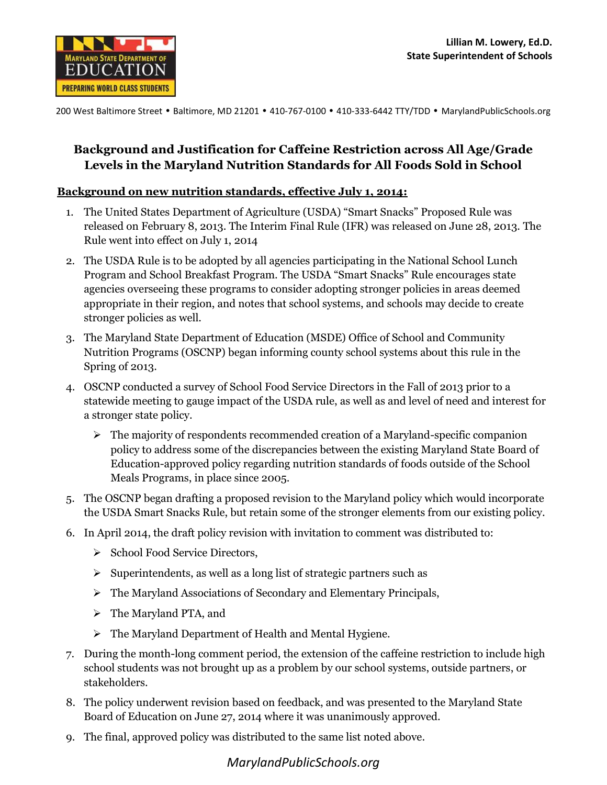

200 West Baltimore Street • Baltimore, MD 21201 • 410-767-0100 • 410-333-6442 TTY/TDD • MarylandPublicSchools.org

## **Background and Justification for Caffeine Restriction across All Age/Grade Levels in the Maryland Nutrition Standards for All Foods Sold in School**

## **Background on new nutrition standards, effective July 1, 2014:**

- 1. The United States Department of Agriculture (USDA) "Smart Snacks" Proposed Rule was released on February 8, 2013. The Interim Final Rule (IFR) was released on June 28, 2013. The Rule went into effect on July 1, 2014
- 2. The USDA Rule is to be adopted by all agencies participating in the National School Lunch Program and School Breakfast Program. The USDA "Smart Snacks" Rule encourages state agencies overseeing these programs to consider adopting stronger policies in areas deemed appropriate in their region, and notes that school systems, and schools may decide to create stronger policies as well.
- 3. The Maryland State Department of Education (MSDE) Office of School and Community Nutrition Programs (OSCNP) began informing county school systems about this rule in the Spring of 2013.
- 4. OSCNP conducted a survey of School Food Service Directors in the Fall of 2013 prior to a statewide meeting to gauge impact of the USDA rule, as well as and level of need and interest for a stronger state policy.
	- $\triangleright$  The majority of respondents recommended creation of a Maryland-specific companion policy to address some of the discrepancies between the existing Maryland State Board of Education-approved policy regarding nutrition standards of foods outside of the School Meals Programs, in place since 2005.
- 5. The OSCNP began drafting a proposed revision to the Maryland policy which would incorporate the USDA Smart Snacks Rule, but retain some of the stronger elements from our existing policy.
- 6. In April 2014, the draft policy revision with invitation to comment was distributed to:
	- $\triangleright$  School Food Service Directors,
	- $\triangleright$  Superintendents, as well as a long list of strategic partners such as
	- The Maryland Associations of Secondary and Elementary Principals,
	- > The Maryland PTA, and
	- $\triangleright$  The Maryland Department of Health and Mental Hygiene.
- 7. During the month-long comment period, the extension of the caffeine restriction to include high school students was not brought up as a problem by our school systems, outside partners, or stakeholders.
- 8. The policy underwent revision based on feedback, and was presented to the Maryland State Board of Education on June 27, 2014 where it was unanimously approved.
- 9. The final, approved policy was distributed to the same list noted above.

*MarylandPublicSchools.org*